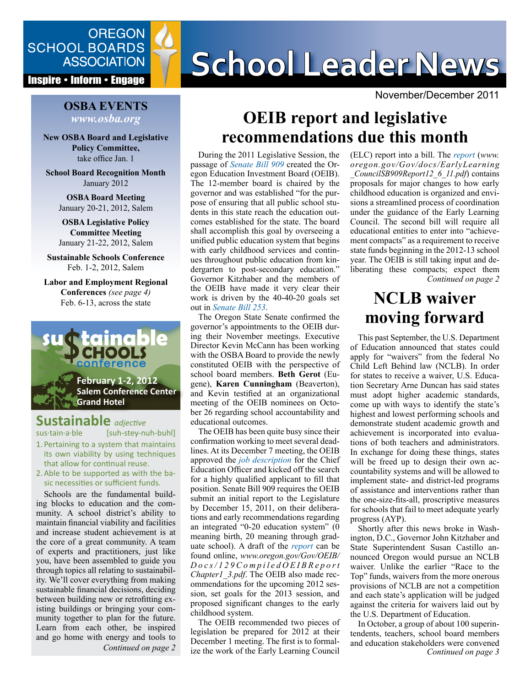

#### **Inspire • Inform • Engage**

#### **OSBA EVENTS** *www.osba.org*

**New OSBA Board and Legislative Policy Committee,**  take office Jan. 1

**School Board Recognition Month** January 2012

**OSBA Board Meeting** January 20-21, 2012, Salem

**OSBA Legislative Policy Committee Meeting** January 21-22, 2012, Salem

**Sustainable Schools Conference** Feb. 1-2, 2012, Salem

**Labor and Employment Regional Conferences** *(see page 4)* Feb. 6-13, across the state



### **Sustainable** *adjective*

sus·tain·a·ble [suh-stey-nuh-buhl]

1. Pertaining to a system that maintains its own viability by using techniques that allow for continual reuse.

2.Able to be supported as with the basic necessities or sufficient funds.

Schools are the fundamental building blocks to education and the community. A school district's ability to maintain financial viability and facilities and increase student achievement is at the core of a great community. A team of experts and practitioners, just like you, have been assembled to guide you through topics all relating to sustainability. We'll cover everything from making sustainable financial decisions, deciding between building new or retrofitting existing buildings or bringing your community together to plan for the future. Learn from each other, be inspired and go home with energy and tools to

# SCHOOL BOARDS **SCHOOL Leader News**

November/December 2011

### **OEIB report and legislative recommendations due this month**

During the 2011 Legislative Session, the passage of *[Senate Bill 909](http://www.leg.state.or.us/11reg/measpdf/sb0900.dir/sb0909.en.pdf)* created the Oregon Education Investment Board (OEIB). The 12-member board is chaired by the governor and was established "for the purpose of ensuring that all public school students in this state reach the education outcomes established for the state. The board shall accomplish this goal by overseeing a unified public education system that begins with early childhood services and continues throughout public education from kindergarten to post-secondary education." Governor Kitzhaber and the members of the OEIB have made it very clear their work is driven by the 40-40-20 goals set out in *[Senate Bill 253](http://www.leg.state.or.us/11reg/measpdf/sb0200.dir/sb0253.en.pdf)*.

The Oregon State Senate confirmed the governor's appointments to the OEIB during their November meetings. Executive Director Kevin McCann has been working with the OSBA Board to provide the newly constituted OEIB with the perspective of school board members. **Beth Gerot** (Eugene), **Karen Cunningham** (Beaverton), and Kevin testified at an organizational meeting of the OEIB nominees on October 26 regarding school accountability and educational outcomes.

The OEIB has been quite busy since their confirmation working to meet several deadlines. At its December 7 meeting, the OEIB approved the *[job description](http://www.oregon.gov/Gov/docs/ChiefEducationOfficerJobDescription.pdf)* for the Chief Education Officer and kicked off the search for a highly qualified applicant to fill that position. Senate Bill 909 requires the OEIB submit an initial report to the Legislature by December 15, 2011, on their deliberations and early recommendations regarding an integrated "0-20 education system" (0 meaning birth, 20 meaning through graduate school). A draft of the *[report](www.oregon.gov/Gov/OEIB/
Docs/129CompiledOEIBReport
Chapter1_3.pdf)* can be found online, *www.oregon.gov/Gov/OEIB/ D o c s / 1 2 9 C o m p i l e d O E I B R e p o r t Chapter1\_3.pdf*. The OEIB also made recommendations for the upcoming 2012 session, set goals for the 2013 session, and proposed significant changes to the early childhood system.

*Continued on page 2 Continued on page 3* ize the work of the Early Learning Council The OEIB recommended two pieces of legislation be prepared for 2012 at their December 1 meeting. The first is to formal-

*Continued on page 2* (ELC) report into a bill. The *[report](www.oregon.gov/Gov/docs/EarlyLearning
_CouncilSB909Report12_6_11.pdf)* (*[www.](www.oregon.gov/Gov/docs/EarlyLearning_CouncilSB909Report12_6_11.pdf) [oregon.gov/Gov/docs/EarlyLearning](www.oregon.gov/Gov/docs/EarlyLearning_CouncilSB909Report12_6_11.pdf) [\\_CouncilSB909Report12\\_6\\_11.pdf](www.oregon.gov/Gov/docs/EarlyLearning_CouncilSB909Report12_6_11.pdf)*) contains proposals for major changes to how early childhood education is organized and envisions a streamlined process of coordination under the guidance of the Early Learning Council. The second bill will require all educational entities to enter into "achievement compacts" as a requirement to receive state funds beginning in the 2012-13 school year. The OEIB is still taking input and deliberating these compacts; expect them

### **NCLB waiver moving forward**

This past September, the U.S. Department of Education announced that states could apply for "waivers" from the federal No Child Left Behind law (NCLB). In order for states to receive a waiver, U.S. Education Secretary Arne Duncan has said states must adopt higher academic standards, come up with ways to identify the state's highest and lowest performing schools and demonstrate student academic growth and achievement is incorporated into evaluations of both teachers and administrators. In exchange for doing these things, states will be freed up to design their own accountability systems and will be allowed to implement state- and district-led programs of assistance and interventions rather than the one-size-fits-all, proscriptive measures for schools that fail to meet adequate yearly progress (AYP).

Shortly after this news broke in Washington, D.C., Governor John Kitzhaber and State Superintendent Susan Castillo announced Oregon would pursue an NCLB waiver. Unlike the earlier "Race to the Top" funds, waivers from the more onerous provisions of NCLB are not a competition and each state's application will be judged against the criteria for waivers laid out by the U.S. Department of Education.

In October, a group of about 100 superintendents, teachers, school board members and education stakeholders were convened<br>Continued on page 3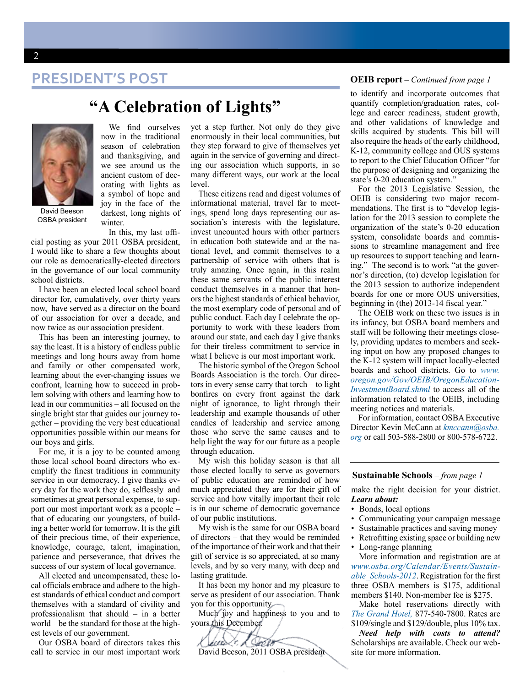### **PRESIDENT'S POST OEIB report** *– Continued from page 1*



David Beeson OSBA president

We find ourselves now in the traditional season of celebration and thanksgiving, and we see around us the ancient custom of decorating with lights as a symbol of hope and joy in the face of the darkest, long nights of

**"A Celebration of Lights"**

winter. In this, my last offi-

cial posting as your 2011 OSBA president, I would like to share a few thoughts about our role as democratically-elected directors in the governance of our local community school districts.

I have been an elected local school board director for, cumulatively, over thirty years now, have served as a director on the board of our association for over a decade, and now twice as our association president.

This has been an interesting journey, to say the least. It is a history of endless public meetings and long hours away from home and family or other compensated work, learning about the ever-changing issues we confront, learning how to succeed in problem solving with others and learning how to lead in our communities – all focused on the single bright star that guides our journey together – providing the very best educational opportunities possible within our means for our boys and girls.

For me, it is a joy to be counted among those local school board directors who exemplify the finest traditions in community service in our democracy. I give thanks every day for the work they do, selflessly and sometimes at great personal expense, to support our most important work as a people – that of educating our youngsters, of building a better world for tomorrow. It is the gift of their precious time, of their experience, knowledge, courage, talent, imagination, patience and perseverance, that drives the success of our system of local governance.

All elected and uncompensated, these local officials embrace and adhere to the highest standards of ethical conduct and comport themselves with a standard of civility and professionalism that should – in a better world – be the standard for those at the highest levels of our government.

Our OSBA board of directors takes this call to service in our most important work

yet a step further. Not only do they give enormously in their local communities, but they step forward to give of themselves yet again in the service of governing and directing our association which supports, in so many different ways, our work at the local level.

These citizens read and digest volumes of informational material, travel far to meetings, spend long days representing our association's interests with the legislature, invest uncounted hours with other partners in education both statewide and at the national level, and commit themselves to a partnership of service with others that is truly amazing. Once again, in this realm these same servants of the public interest conduct themselves in a manner that honors the highest standards of ethical behavior, the most exemplary code of personal and of public conduct. Each day I celebrate the opportunity to work with these leaders from around our state, and each day I give thanks for their tireless commitment to service in what I believe is our most important work.

The historic symbol of the Oregon School Boards Association is the torch. Our directors in every sense carry that torch – to light bonfires on every front against the dark night of ignorance, to light through their leadership and example thousands of other candles of leadership and service among those who serve the same causes and to help light the way for our future as a people through education.

My wish this holiday season is that all those elected locally to serve as governors of public education are reminded of how much appreciated they are for their gift of service and how vitally important their role is in our scheme of democratic governance of our public institutions.

My wish is the same for our OSBA board of directors – that they would be reminded of the importance of their work and that their gift of service is so appreciated, at so many levels, and by so very many, with deep and lasting gratitude.

It has been my honor and my pleasure to serve as president of our association. Thank you for this opportunity.

Much joy and happiness to you and to yours this December.

### eeus (r. A. Septe David Beeson, 2011 OSBA president

to identify and incorporate outcomes that quantify completion/graduation rates, college and career readiness, student growth, and other validations of knowledge and skills acquired by students. This bill will also require the heads of the early childhood, K-12, community college and OUS systems to report to the Chief Education Officer "for the purpose of designing and organizing the state's 0-20 education system."

For the 2013 Legislative Session, the OEIB is considering two major recommendations. The first is to "develop legislation for the 2013 session to complete the organization of the state's 0-20 education system, consolidate boards and commissions to streamline management and free up resources to support teaching and learning." The second is to work "at the governor's direction, (to) develop legislation for the 2013 session to authorize independent boards for one or more OUS universities, beginning in (the) 2013-14 fiscal year."

The OEIB work on these two issues is in its infancy, but OSBA board members and staff will be following their meetings closely, providing updates to members and seeking input on how any proposed changes to the K-12 system will impact locally-elected boards and school districts. Go to *[www.](www.oregon.gov/Gov/OEIB/OregonEducationInvestmentBoard.shtml) [oregon.gov/Gov/OEIB/OregonEducation-](www.oregon.gov/Gov/OEIB/OregonEducationInvestmentBoard.shtml)[InvestmentBoard.shtml](www.oregon.gov/Gov/OEIB/OregonEducationInvestmentBoard.shtml)* to access all of the information related to the OEIB, including meeting notices and materials.

For information, contact OSBA Executive Director [Kevin McCann](mailto:kmccann%40osba.org?subject=) at *[kmccann@osba.](mailto:kmccann%40osba.org?subject=) [org](mailto:kmccann%40osba.org?subject=)* or call 503-588-2800 or 800-578-6722.

#### **Sustainable Schools** – *from page 1*

make the right decision for your district. *Learn about:*

- Bonds, local options
- Communicating your campaign message
- Sustainable practices and saving money
- Retrofitting existing space or building new
- Long-range planning More information and registration are at

*[www.osba.org/Calendar/Events/Sustain](www.osba.org/Calendar/Events/Sustainable_Schools-2012)[able\\_Schools-2012](www.osba.org/Calendar/Events/Sustainable_Schools-2012)*. Registration for the first three OSBA members is \$175, additional members \$140. Non-member fee is \$275.

Make hotel reservations directly with *[The Grand Hotel](http://www.grandhotelsalem.com),* 877-540-7800. Rates are \$109/single and \$129/double, plus 10% tax.

*Need help with costs to attend?* Scholarships are available. Check our website for more information.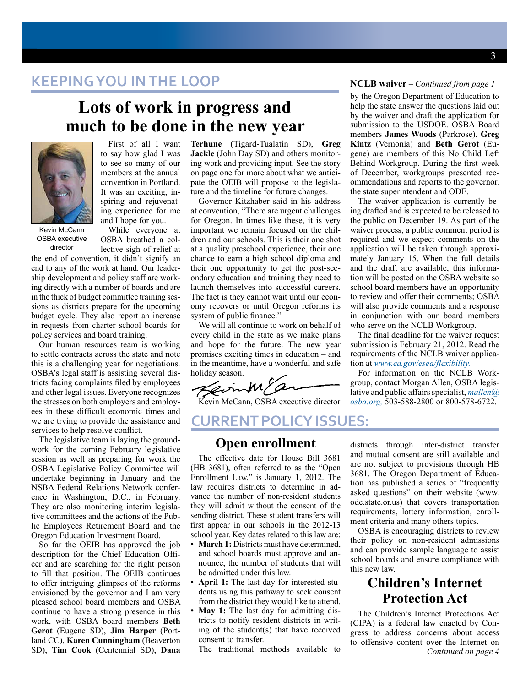### **KEEPING YOU IN THE LOOP**

### **Lots of work in progress and much to be done in the new year**



First of all I want to say how glad I was to see so many of our members at the annual convention in Portland. It was an exciting, inspiring and rejuvenating experience for me and I hope for you.

Kevin McCann OSBA executive director

While everyone at OSBA breathed a collective sigh of relief at

the end of convention, it didn't signify an end to any of the work at hand. Our leadership development and policy staff are working directly with a number of boards and are in the thick of budget committee training sessions as districts prepare for the upcoming budget cycle. They also report an increase in requests from charter school boards for policy services and board training.

Our human resources team is working to settle contracts across the state and note this is a challenging year for negotiations. OSBA's legal staff is assisting several districts facing complaints filed by employees and other legal issues. Everyone recognizes the stresses on both employers and employees in these difficult economic times and we are trying to provide the assistance and services to help resolve conflict.

The legislative team is laying the groundwork for the coming February legislative session as well as preparing for work the OSBA Legislative Policy Committee will undertake beginning in January and the NSBA Federal Relations Network conference in Washington, D.C., in February. They are also monitoring interim legislative committees and the actions of the Public Employees Retirement Board and the Oregon Education Investment Board.

So far the OEIB has approved the job description for the Chief Education Officer and are searching for the right person to fill that position. The OEIB continues to offer intriguing glimpses of the reforms envisioned by the governor and I am very pleased school board members and OSBA continue to have a strong presence in this work, with OSBA board members **Beth Gerot** (Eugene SD), **Jim Harper** (Portland CC), **Karen Cunningham** (Beaverton SD), **Tim Cook** (Centennial SD), **Dana**

**Terhune** (Tigard-Tualatin SD), **Greg Jackle** (John Day SD) and others monitoring work and providing input. See the story on page one for more about what we anticipate the OEIB will propose to the legislature and the timeline for future changes.

Governor Kitzhaber said in his address at convention, "There are urgent challenges for Oregon. In times like these, it is very important we remain focused on the children and our schools. This is their one shot at a quality preschool experience, their one chance to earn a high school diploma and their one opportunity to get the post-secondary education and training they need to launch themselves into successful careers. The fact is they cannot wait until our economy recovers or until Oregon reforms its system of public finance."

We will all continue to work on behalf of every child in the state as we make plans and hope for the future. The new year promises exciting times in education – and in the meantime, have a wonderful and safe holiday season.

Kevin McCann, OSBA executive director

### **Current POLICY issues: Open enrollment**

The effective date for House Bill 3681 (HB 3681), often referred to as the "Open Enrollment Law," is January 1, 2012. The law requires districts to determine in advance the number of non-resident students they will admit without the consent of the sending district. These student transfers will first appear in our schools in the 2012-13 school year. Key dates related to this law are:

- **• March 1:** Districts must have determined, and school boards must approve and announce, the number of students that will be admitted under this law.
- **• April 1:** The last day for interested students using this pathway to seek consent from the district they would like to attend.
- **• May 1:** The last day for admitting districts to notify resident districts in writing of the student(s) that have received consent to transfer.

The traditional methods available to

#### **NCLB waiver** *– Continued from page 1*

by the Oregon Department of Education to help the state answer the questions laid out by the waiver and draft the application for submission to the USDOE. OSBA Board members **James Woods** (Parkrose), **Greg Kintz** (Vernonia) and **Beth Gerot** (Eugene) are members of this No Child Left Behind Workgroup. During the first week of December, workgroups presented recommendations and reports to the governor, the state superintendent and ODE.

The waiver application is currently being drafted and is expected to be released to the public on December 19. As part of the waiver process, a public comment period is required and we expect comments on the application will be taken through approximately January 15. When the full details and the draft are available, this information will be posted on the OSBA website so school board members have an opportunity to review and offer their comments; OSBA will also provide comments and a response in conjunction with our board members who serve on the NCLB Workgroup.

The final deadline for the waiver request submission is February 21, 2012. Read the requirements of the NCLB waiver application at *www.ed.gov/esea/flexibility.*

For information on the NCLB Workgroup, contact Morgan Allen, OSBA legislative and public affairs specialist, *[mallen@](mailto:mallen%40osba.org?subject=) [osba.org,](mailto:mallen%40osba.org?subject=)* 503-588-2800 or 800-578-6722.

districts through inter-district transfer and mutual consent are still available and are not subject to provisions through HB 3681. The Oregon Department of Education has published a series of "frequently asked questions" on their website (www. ode.state.or.us) that covers transportation requirements, lottery information, enrollment criteria and many others topics.

OSBA is encouraging districts to review their policy on non-resident admissions and can provide sample language to assist school boards and ensure compliance with this new law.

### **Children's Internet Protection Act**

*Continued on page 4* The Children's Internet Protections Act (CIPA) is a federal law enacted by Congress to address concerns about access to offensive content over the Internet on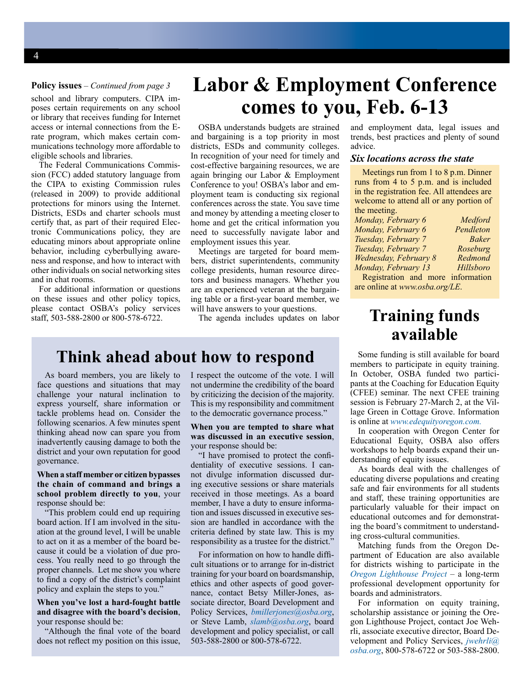#### **Policy issues** *– Continued from page 3*

school and library computers. CIPA imposes certain requirements on any school or library that receives funding for Internet access or internal connections from the Erate program, which makes certain communications technology more affordable to eligible schools and libraries.

The Federal Communications Commission (FCC) added statutory language from the CIPA to existing Commission rules (released in 2009) to provide additional protections for minors using the Internet. Districts, ESDs and charter schools must certify that, as part of their required Electronic Communications policy, they are educating minors about appropriate online behavior, including cyberbullying awareness and response, and how to interact with other individuals on social networking sites and in chat rooms.

For additional information or questions on these issues and other policy topics, please contact OSBA's policy services staff, 503-588-2800 or 800-578-6722.

## **Labor & Employment Conference comes to you, Feb. 6-13**

OSBA understands budgets are strained and bargaining is a top priority in most districts, ESDs and community colleges. In recognition of your need for timely and cost-effective bargaining resources, we are again bringing our Labor & Employment Conference to you! OSBA's labor and employment team is conducting six regional conferences across the state. You save time and money by attending a meeting closer to home and get the critical information you need to successfully navigate labor and employment issues this year.

Meetings are targeted for board members, district superintendents, community college presidents, human resource directors and business managers. Whether you are an experienced veteran at the bargaining table or a first-year board member, we will have answers to your questions.

The agenda includes updates on labor

### **Think ahead about how to respond**

As board members, you are likely to face questions and situations that may challenge your natural inclination to express yourself, share information or tackle problems head on. Consider the following scenarios. A few minutes spent thinking ahead now can spare you from inadvertently causing damage to both the district and your own reputation for good governance.

#### **When a staff member or citizen bypasses the chain of command and brings a school problem directly to you**, your response should be:

This problem could end up requiring board action. If I am involved in the situation at the ground level, I will be unable to act on it as a member of the board because it could be a violation of due process. You really need to go through the proper channels. Let me show you where to find a copy of the district's complaint policy and explain the steps to you."

#### **When you've lost a hard-fought battle and disagree with the board's decision**, your response should be:

"Although the final vote of the board does not reflect my position on this issue, I respect the outcome of the vote. I will not undermine the credibility of the board by criticizing the decision of the majority. This is my responsibility and commitment to the democratic governance process."

#### **When you are tempted to share what was discussed in an executive session**, your response should be:

"I have promised to protect the confidentiality of executive sessions. I cannot divulge information discussed during executive sessions or share materials received in those meetings. As a board member, I have a duty to ensure information and issues discussed in executive session are handled in accordance with the criteria defined by state law. This is my responsibility as a trustee for the district.'

For information on how to handle difficult situations or to arrange for in-district training for your board on boardsmanship, ethics and other aspects of good governance, contact Betsy Miller-Jones, associate director, Board Development and Policy Services, *[bmillerjones@osba.org](mailto:bmillerjones@osba.org)*, or Steve Lamb, *[slamb@osba.org](mailto:slamb@osba.org)*, board development and policy specialist, or call 503-588-2800 or 800-578-6722.

and employment data, legal issues and trends, best practices and plenty of sound advice.

#### *Six locations across the state*

Meetings run from 1 to 8 p.m. Dinner runs from 4 to 5 p.m. and is included in the registration fee. All attendees are welcome to attend all or any portion of the meeting.

| Monday, February 6    | Medford      |
|-----------------------|--------------|
| Monday, February 6    | Pendleton    |
| Tuesday, February 7   | <b>Baker</b> |
| Tuesday, February 7   | Roseburg     |
| Wednesday, February 8 | Redmond      |
| Monday, February 13   | Hillsboro    |
| Registration and more | information  |

Registration and more information are online at *www.osba.org/LE*.

### **Training funds available**

Some funding is still available for board members to participate in equity training. In October, OSBA funded two participants at the Coaching for Education Equity (CFEE) seminar. The next CFEE training session is February 27-March 2, at the Village Green in Cottage Grove. Information is online at *[www.edequityoregon.com](http://www.edequityoregon.com).*

In cooperation with Oregon Center for Educational Equity, OSBA also offers workshops to help boards expand their understanding of equity issues.

As boards deal with the challenges of educating diverse populations and creating safe and fair environments for all students and staff, these training opportunities are particularly valuable for their impact on educational outcomes and for demonstrating the board's commitment to understanding cross-cultural communities.

Matching funds from the Oregon Department of Education are also available for districts wishing to participate in the *[Oregon Lighthouse Project](http://www.osba.org/Resources/Article/Improving_Education/Lighthouse_project.aspx)* – a long-term professional development opportunity for boards and administrators.

For information on equity training, scholarship assistance or joining the Oregon Lighthouse Project, contact Joe Wehrli, associate executive director, Board Development and Policy Services, *[jwehrli@](mailto:jwehrli%40osba.org?subject=) [osba.org](mailto:jwehrli%40osba.org?subject=)*, 800-578-6722 or 503-588-2800.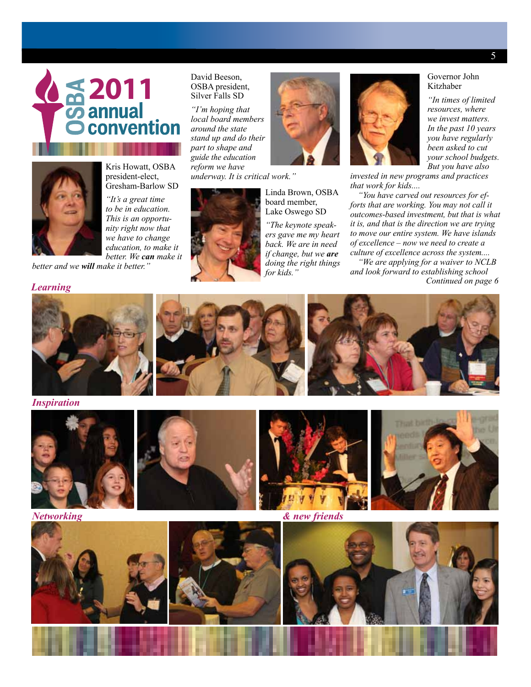



Kris Howatt, OSBA president-elect, Gresham-Barlow SD

*"It's a great time to be in education. This is an opportunity right now that we have to change education, to make it better. We can make it* 

*better and we will make it better."*

#### *Learning*

#### David Beeson, OSBA president, Silver Falls SD

*"I'm hoping that local board members around the state stand up and do their part to shape and guide the education reform we have underway. It is critical work."*



Linda Brown, OSBA board member, Lake Oswego SD

*"The keynote speakers gave me my heart back. We are in need if change, but we are doing the right things for kids."*



*But you have also invested in new programs and practices that work for kids....*

*"You have carved out resources for efforts that are working. You may not call it outcomes-based investment, but that is what it is, and that is the direction we are trying to move our entire system. We have islands of excellence – now we need to create a culture of excellence across the system....*

*"We are applying for a waiver to NCLB and look forward to establishing school Continued on page 6*



*Inspiration*











Governor John Kitzhaber

*"In times of limited resources, where we invest matters. In the past 10 years you have regularly been asked to cut your school budgets.*